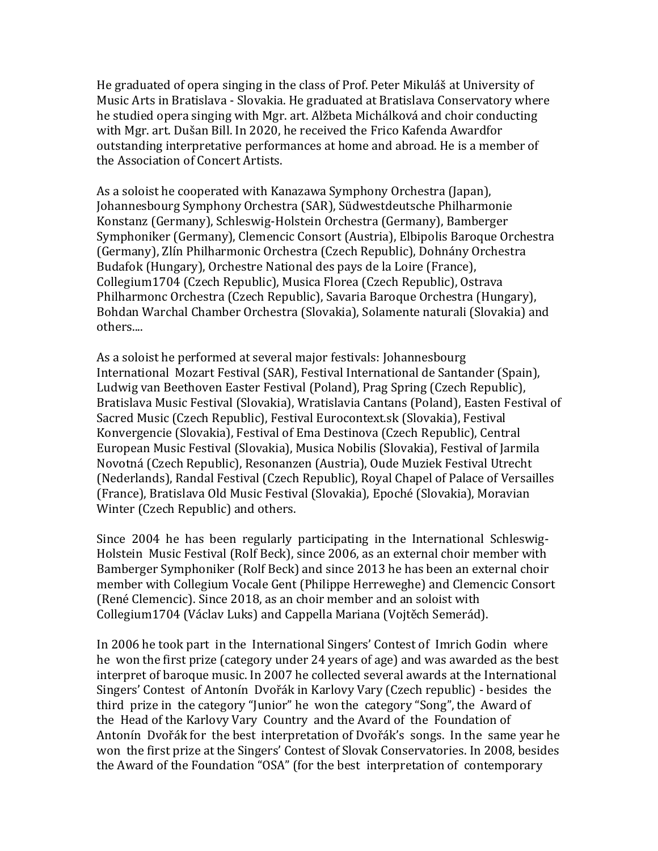He graduated of opera singing in the class of Prof. Peter Mikuláš at University of Music Arts in Bratislava - Slovakia. He graduated at Bratislava Conservatory where he studied opera singing with Mgr. art. Alžbeta Michálková and choir conducting with Mgr. art. Dušan Bill. In 2020, he received the Frico Kafenda Awardfor outstanding interpretative performances at home and abroad. He is a member of the Association of Concert Artists.

As a soloist he cooperated with Kanazawa Symphony Orchestra (Japan), Johannesbourg Symphony Orchestra (SAR), Südwestdeutsche Philharmonie Konstanz (Germany), Schleswig-Holstein Orchestra (Germany), Bamberger Symphoniker (Germany), Clemencic Consort (Austria), Elbipolis Baroque Orchestra (Germany), Zlín Philharmonic Orchestra (Czech Republic), Dohnány Orchestra Budafok (Hungary), Orchestre National des pays de la Loire (France), Collegium1704 (Czech Republic), Musica Florea (Czech Republic), Ostrava Philharmonc Orchestra (Czech Republic), Savaria Baroque Orchestra (Hungary), Bohdan Warchal Chamber Orchestra (Slovakia), Solamente naturali (Slovakia) and others....

As a soloist he performed at several major festivals: Johannesbourg International Mozart Festival (SAR), Festival International de Santander (Spain), Ludwig van Beethoven Easter Festival (Poland), Prag Spring (Czech Republic), Bratislava Music Festival (Slovakia), Wratislavia Cantans (Poland), Easten Festival of Sacred Music (Czech Republic), Festival Eurocontext.sk (Slovakia), Festival Konvergencie (Slovakia), Festival of Ema Destinova (Czech Republic), Central European Music Festival (Slovakia), Musica Nobilis (Slovakia), Festival of Jarmila Novotná (Czech Republic), Resonanzen (Austria), Oude Muziek Festival Utrecht (Nederlands), Randal Festival (Czech Republic), Royal Chapel of Palace of Versailles (France), Bratislava Old Music Festival (Slovakia), Epoché (Slovakia), Moravian Winter (Czech Republic) and others.

Since 2004 he has been regularly participating in the International Schleswig-Holstein Music Festival (Rolf Beck), since 2006, as an external choir member with Bamberger Symphoniker (Rolf Beck) and since 2013 he has been an external choir member with Collegium Vocale Gent (Philippe Herreweghe) and Clemencic Consort (René Clemencic). Since 2018, as an choir member and an soloist with Collegium1704 (Václav Luks) and Cappella Mariana (Vojtěch Semerád).

In 2006 he took part in the International Singers' Contest of Imrich Godin where he won the first prize (category under 24 years of age) and was awarded as the best interpret of baroque music. In 2007 he collected several awards at the International Singers' Contest of Antonín Dvořák in Karlovy Vary (Czech republic) - besides the third prize in the category "Junior" he won the category "Song", the Award of the Head of the Karlovy Vary Country and the Avard of the Foundation of Antonín Dvořák for the best interpretation of Dvořák's songs. In the same year he won the first prize at the Singers' Contest of Slovak Conservatories. In 2008, besides the Award of the Foundation "OSA" (for the best interpretation of contemporary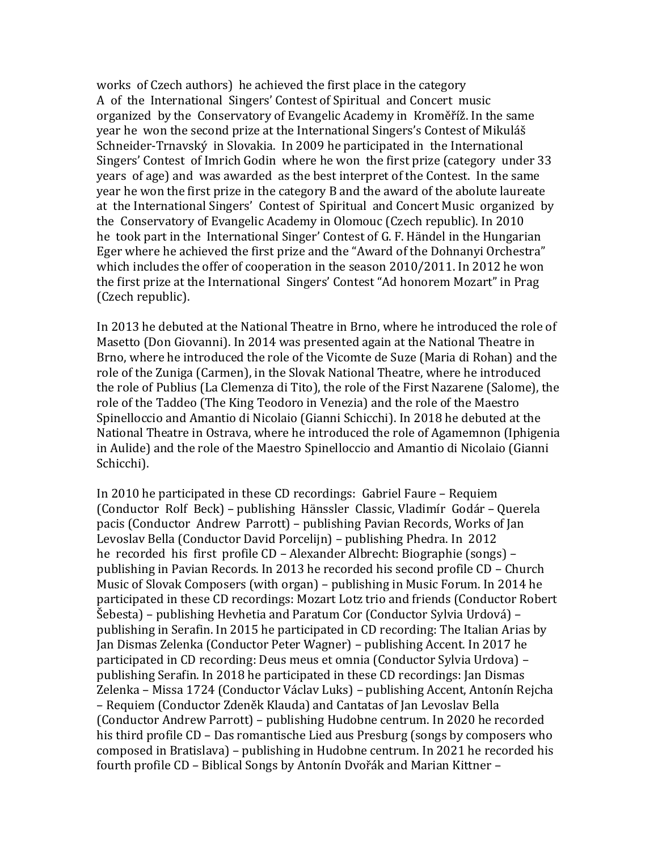works of Czech authors) he achieved the first place in the category A of the International Singers' Contest of Spiritual and Concert music organized by the Conservatory of Evangelic Academy in Kroměříž. In the same year he won the second prize at the International Singers's Contest of Mikuláš Schneider-Trnavský in Slovakia. In 2009 he participated in the International Singers' Contest of Imrich Godin where he won the first prize (category under 33 years of age) and was awarded as the best interpret of the Contest. In the same year he won the first prize in the category B and the award of the abolute laureate at the International Singers' Contest of Spiritual and Concert Music organized by the Conservatory of Evangelic Academy in Olomouc (Czech republic). In 2010 he took part in the International Singer' Contest of G. F. Händel in the Hungarian Eger where he achieved the first prize and the "Award of the Dohnanyi Orchestra" which includes the offer of cooperation in the season 2010/2011. In 2012 he won the first prize at the International Singers' Contest "Ad honorem Mozart" in Prag (Czech republic).

In 2013 he debuted at the National Theatre in Brno, where he introduced the role of Masetto (Don Giovanni). In 2014 was presented again at the National Theatre in Brno, where he introduced the role of the Vicomte de Suze (Maria di Rohan) and the role of the Zuniga (Carmen), in the Slovak National Theatre, where he introduced the role of Publius (La Clemenza di Tito), the role of the First Nazarene (Salome), the role of the Taddeo (The King Teodoro in Venezia) and the role of the Maestro Spinelloccio and Amantio di Nicolaio (Gianni Schicchi). In 2018 he debuted at the National Theatre in Ostrava, where he introduced the role of Agamemnon (Iphigenia in Aulide) and the role of the Maestro Spinelloccio and Amantio di Nicolaio (Gianni Schicchi).

In 2010 he participated in these CD recordings: Gabriel Faure – Requiem (Conductor Rolf Beck) – publishing Hänssler Classic, Vladimír Godár – Querela pacis (Conductor Andrew Parrott) – publishing Pavian Records, Works of Jan Levoslav Bella (Conductor David Porcelijn) – publishing Phedra. In 2012 he recorded his first profile CD – Alexander Albrecht: Biographie (songs) – publishing in Pavian Records. In 2013 he recorded his second profile CD – Church Music of Slovak Composers (with organ) – publishing in Music Forum. In 2014 he participated in these CD recordings: Mozart Lotz trio and friends (Conductor Robert Šebesta) – publishing Hevhetia and Paratum Cor (Conductor Sylvia Urdová) – publishing in Serafin. In 2015 he participated in CD recording: The Italian Arias by Jan Dismas Zelenka (Conductor Peter Wagner) – publishing Accent. In 2017 he participated in CD recording: Deus meus et omnia (Conductor Sylvia Urdova) – publishing Serafin. In 2018 he participated in these CD recordings: Jan Dismas Zelenka – Missa 1724 (Conductor Václav Luks) – publishing Accent, Antonín Rejcha – Requiem (Conductor Zdeněk Klauda) and Cantatas of Jan Levoslav Bella (Conductor Andrew Parrott) – publishing Hudobne centrum. In 2020 he recorded his third profile CD – Das romantische Lied aus Presburg (songs by composers who composed in Bratislava) – publishing in Hudobne centrum. In 2021 he recorded his fourth profile CD – Biblical Songs by Antonín Dvořák and Marian Kittner –